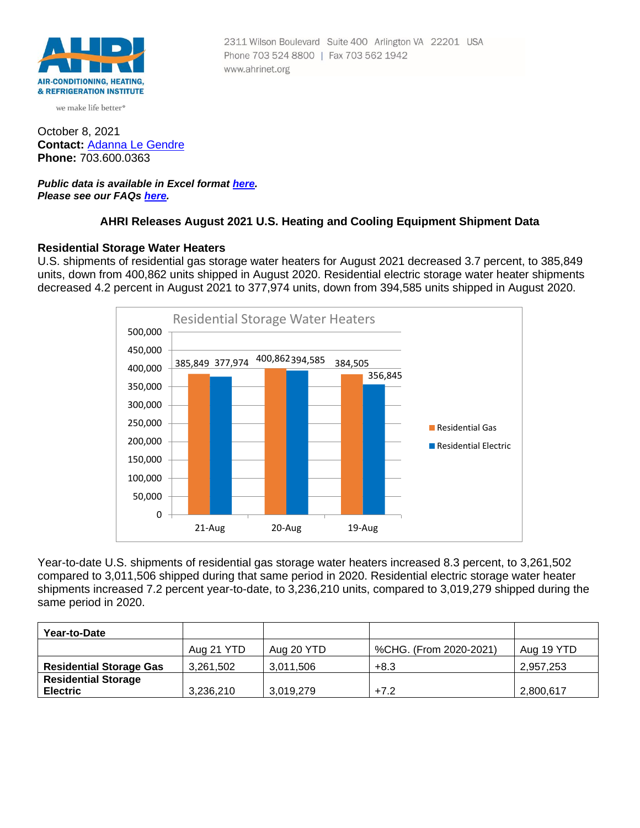

we make life better<sup>®</sup>

October 8, 2021 **Contact:** [Adanna Le Gendre](mailto:AleGendre@ahrinet.org) **Phone:** 703.600.0363

### *Public data is available in Excel format [here.](https://ahrinet.org/Portals/Reports/August%202021%20Numbers.xls) Please see our FAQs [here.](#page-4-0)*

## **AHRI Releases August 2021 U.S. Heating and Cooling Equipment Shipment Data**

## **Residential Storage Water Heaters**

U.S. shipments of residential gas storage water heaters for August 2021 decreased 3.7 percent, to 385,849 units, down from 400,862 units shipped in August 2020. Residential electric storage water heater shipments decreased 4.2 percent in August 2021 to 377,974 units, down from 394,585 units shipped in August 2020.



Year-to-date U.S. shipments of residential gas storage water heaters increased 8.3 percent, to 3,261,502 compared to 3,011,506 shipped during that same period in 2020. Residential electric storage water heater shipments increased 7.2 percent year-to-date, to 3,236,210 units, compared to 3,019,279 shipped during the same period in 2020.

| Year-to-Date                                  |            |            |                        |            |
|-----------------------------------------------|------------|------------|------------------------|------------|
|                                               | Aug 21 YTD | Aug 20 YTD | %CHG. (From 2020-2021) | Aug 19 YTD |
| <b>Residential Storage Gas</b>                | 3,261,502  | 3,011,506  | $+8.3$                 | 2,957,253  |
| <b>Residential Storage</b><br><b>Electric</b> | 3.236.210  | 3,019,279  | $+7.2$                 | 2,800,617  |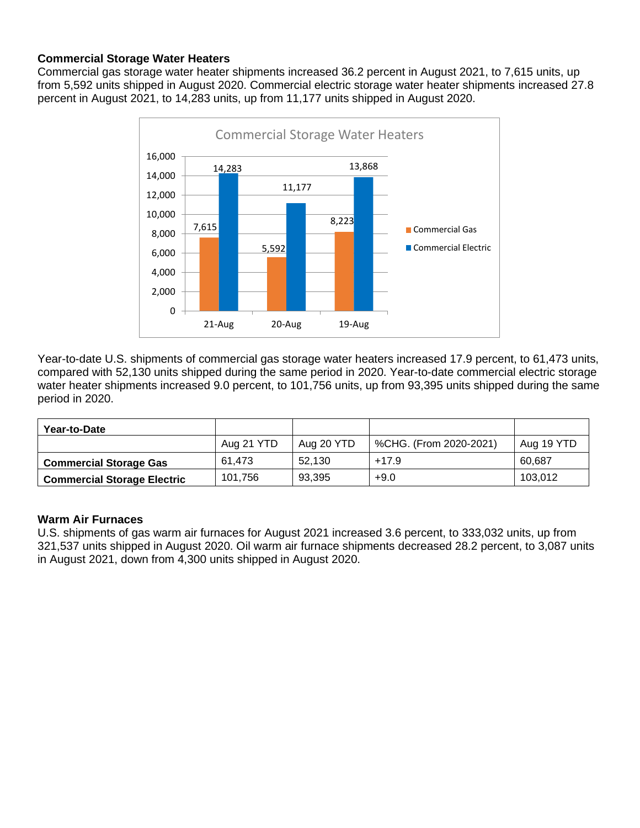# **Commercial Storage Water Heaters**

Commercial gas storage water heater shipments increased 36.2 percent in August 2021, to 7,615 units, up from 5,592 units shipped in August 2020. Commercial electric storage water heater shipments increased 27.8 percent in August 2021, to 14,283 units, up from 11,177 units shipped in August 2020.



Year-to-date U.S. shipments of commercial gas storage water heaters increased 17.9 percent, to 61,473 units, compared with 52,130 units shipped during the same period in 2020. Year-to-date commercial electric storage water heater shipments increased 9.0 percent, to 101,756 units, up from 93,395 units shipped during the same period in 2020.

| Year-to-Date                       |            |            |                        |            |
|------------------------------------|------------|------------|------------------------|------------|
|                                    | Aug 21 YTD | Aug 20 YTD | %CHG. (From 2020-2021) | Aug 19 YTD |
| <b>Commercial Storage Gas</b>      | 61.473     | 52.130     | $+17.9$                | 60.687     |
| <b>Commercial Storage Electric</b> | 101.756    | 93.395     | $+9.0$                 | 103.012    |

## **Warm Air Furnaces**

U.S. shipments of gas warm air furnaces for August 2021 increased 3.6 percent, to 333,032 units, up from 321,537 units shipped in August 2020. Oil warm air furnace shipments decreased 28.2 percent, to 3,087 units in August 2021, down from 4,300 units shipped in August 2020.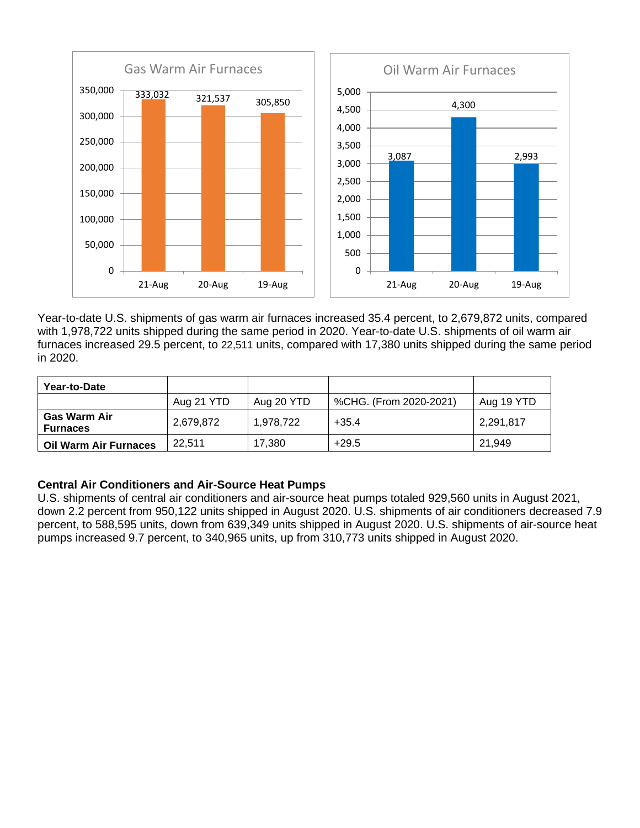

Year-to-date U.S. shipments of gas warm air furnaces increased 35.4 percent, to 2,679,872 units, compared with 1,978,722 units shipped during the same period in 2020. Year-to-date U.S. shipments of oil warm air furnaces increased 29.5 percent, to 22,511 units, compared with 17,380 units shipped during the same period in 2020.

| Year-to-Date                    |            |            |                        |            |
|---------------------------------|------------|------------|------------------------|------------|
|                                 | Aug 21 YTD | Aug 20 YTD | %CHG. (From 2020-2021) | Aug 19 YTD |
| Gas Warm Air<br><b>Furnaces</b> | 2,679,872  | 1,978,722  | $+35.4$                | 2,291,817  |
| <b>Oil Warm Air Furnaces</b>    | 22.511     | 17,380     | $+29.5$                | 21.949     |

# **Central Air Conditioners and Air-Source Heat Pumps**

U.S. shipments of central air conditioners and air-source heat pumps totaled 929,560 units in August 2021, down 2.2 percent from 950,122 units shipped in August 2020. U.S. shipments of air conditioners decreased 7.9 percent, to 588,595 units, down from 639,349 units shipped in August 2020. U.S. shipments of air-source heat pumps increased 9.7 percent, to 340,965 units, up from 310,773 units shipped in August 2020.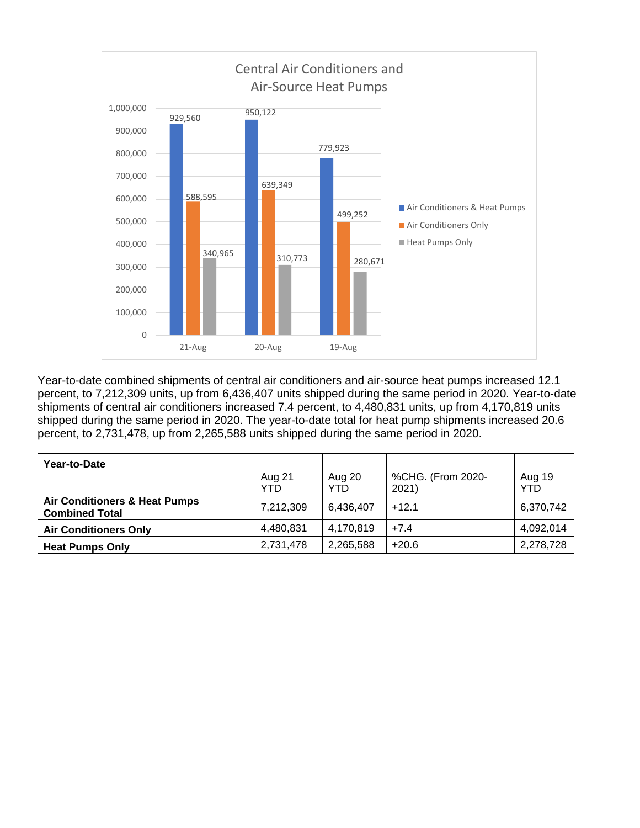

Year-to-date combined shipments of central air conditioners and air-source heat pumps increased 12.1 percent, to 7,212,309 units, up from 6,436,407 units shipped during the same period in 2020. Year-to-date shipments of central air conditioners increased 7.4 percent, to 4,480,831 units, up from 4,170,819 units shipped during the same period in 2020. The year-to-date total for heat pump shipments increased 20.6 percent, to 2,731,478, up from 2,265,588 units shipped during the same period in 2020.

| Year-to-Date                                                      |               |                |                            |               |
|-------------------------------------------------------------------|---------------|----------------|----------------------------|---------------|
|                                                                   | Aug 21<br>YTD | Aug 20<br>YTD. | %CHG. (From 2020-<br>2021) | Aug 19<br>YTD |
| <b>Air Conditioners &amp; Heat Pumps</b><br><b>Combined Total</b> | 7,212,309     | 6,436,407      | $+12.1$                    | 6,370,742     |
| <b>Air Conditioners Only</b>                                      | 4,480,831     | 4,170,819      | $+7.4$                     | 4,092,014     |
| <b>Heat Pumps Only</b>                                            | 2,731,478     | 2,265,588      | $+20.6$                    | 2,278,728     |